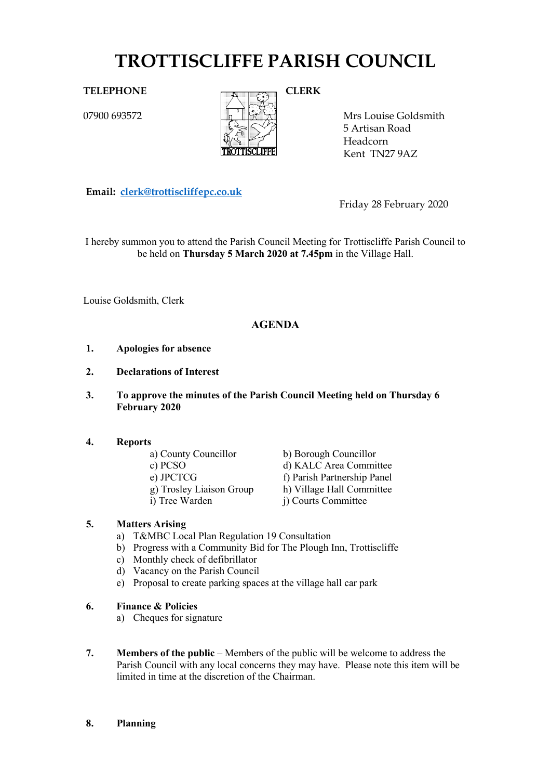# **TROTTISCLIFFE PARISH COUNCIL**

07900 693572



Mrs Louise Goldsmith 5 Artisan Road Headcorn Kent TN27 9AZ

**Email: [clerk@trottiscliffepc.co.uk](mailto:clerk@trottiscliffepc.co.uk)**

Friday 28 February 2020

I hereby summon you to attend the Parish Council Meeting for Trottiscliffe Parish Council to be held on **Thursday 5 March 2020 at 7.45pm** in the Village Hall.

Louise Goldsmith, Clerk

# **AGENDA**

- **1. Apologies for absence**
- **2. Declarations of Interest**
- **3. To approve the minutes of the Parish Council Meeting held on Thursday 6 February 2020**

- **4. Reports**
	-
	-
	-
	-

b) Borough Councillor c) PCSO d) KALC Area Committee e) JPCTCG f) Parish Partnership Panel g) Trosley Liaison Group h) Village Hall Committee i) Tree Warden j) Courts Committee

# **5. Matters Arising**

- a) T&MBC Local Plan Regulation 19 Consultation
- b) Progress with a Community Bid for The Plough Inn, Trottiscliffe
- c) Monthly check of defibrillator
- d) Vacancy on the Parish Council
- e) Proposal to create parking spaces at the village hall car park
- **6. Finance & Policies**
	- a) Cheques for signature
- **7. Members of the public** Members of the public will be welcome to address the Parish Council with any local concerns they may have. Please note this item will be limited in time at the discretion of the Chairman.
- **8. Planning**